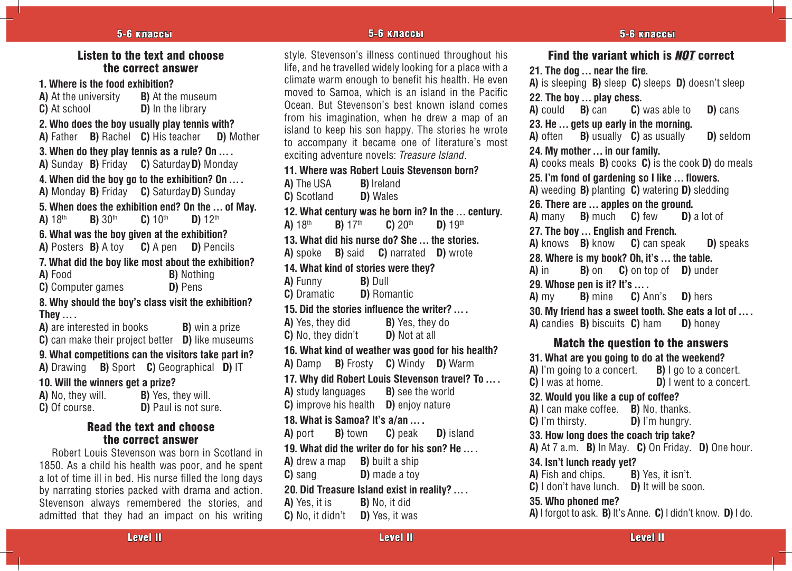# Listen to the text and choose the correct answer

**1. Where is the food exhibition? A)** At the university **B)** At the museum **C)** At school **D)** In the library **2. Who does the boy usually play tennis with? A)** Father **B)** Rachel **C)** His teacher **D)** Mother **3. When do they play tennis as a rule? On … . A)** Sunday **B)** Friday **C)** Saturday **D)** Monday **4. When did the boy go to the exhibition? On … . A)** Monday **B)** Friday **C)** Saturday **D)** Sunday **5. When does the exhibition end? On the … of May. A)** 18th **B)** 30th **C)** 10th **D)** 12th **6. What was the boy given at the exhibition? A)** Posters **B)** A toy **C)** A pen **D)** Pencils **7. What did the boy like most about the exhibition? A)** Food **B)** Nothing **C)** Computer games **D)** Pens **8. Why should the boy's class visit the exhibition? They … . A)** are interested in books **B**) win a prize **C)** can make their project better **D)** like museums **9. What competitions can the visitors take part in? A)** Drawing **B)** Sport **C)** Geographical **D)** IT **10. Will the winners get a prize?**

| <b>A)</b> No, they will. | <b>B)</b> Yes, they will. |
|--------------------------|---------------------------|
| C) Of course.            | D) Paul is not sure.      |

# Read the text and choose the correct answer

Robert Louis Stevenson was born in Scotland in 1850. As a child his health was poor, and he spent a lot of time ill in bed. His nurse filled the long days by narrating stories packed with drama and action. Stevenson always remembered the stories, and admitted that they had an impact on his writing

style. Stevenson's illness continued throughout his life, and he travelled widely looking for a place with a climate warm enough to benefit his health. He even moved to Samoa, which is an island in the Pacific Ocean. But Stevenson's best known island comes from his imagination, when he drew a map of an island to keep his son happy. The stories he wrote to accompany it became one of literature's most exciting adventure novels: *Treasure Island*.

# **11. Where was Robert Louis Stevenson born? A)** The USA **B)** Ireland **C)** Scotland **D)** Wales **12. What century was he born in? In the … century. A)** 18th **B)** 17th **C)** 20th **D)** 19th **13. What did his nurse do? She … the stories. A)** spoke **B)** said **C)** narrated **D)** wrote **14. What kind of stories were they? A)** Funny **B)** Dull **C)** Dramatic **D)** Romantic **15. Did the stories influence the writer? … . A)** Yes, they did **B)** Yes, they do **C)** No, they didn't **D)** Not at all **16. What kind of weather was good for his health? A)** Damp **B)** Frosty **C)** Windy **D)** Warm **17. Why did Robert Louis Stevenson travel? To … . A)** study languages **B)** see the world **C**) improve his health **D**) enjoy nature **18. What is Samoa? It's a/an … . A)** port **B)** town **C)** peak **D)** island **19. What did the writer do for his son? He … . A)** drew a map **B)** built a ship **C**) sang **D**) made a toy **20. Did Treasure Island exist in reality? … . A)** Yes, it is **B)** No, it did **C)** No, it didn't **D)** Yes, it was

Find the variant which is *NOT* correct **21. The dog … near the fire. A)** is sleeping **B)** sleep **C)** sleeps **D)** doesn't sleep **22. The boy ... play chess.**<br>**A)** could **B)** can **C)** was able to **A)** could **B)** can **C)** was able to **D)** cans **23. He … gets up early in the morning. A)** often **B)** usually **C)** as usually **D)** seldom **24. My mother … in our family. A)** cooks meals **B)** cooks **C)** is the cook **D)** do meals **25. I'm fond of gardening so I like … flowers. A)** weeding **B)** planting **C)** watering **D)** sledding **26. There are … apples on the ground. A)** many **B)** much **C)** few **D)** a lot of **27. The boy … English and French. A)** knows **B)** know **C)** can speak **D)** speaks **28. Where is my book? Oh, it's … the table. A)** in **B)** on **C)** on top of **D)** under **29. Whose pen is it? It's … . A)** my **B)** mine **C)** Ann's **D)** hers **30. My friend has a sweet tooth. She eats a lot of … . A)** candies **B)** biscuits **C)** ham **D)** honey Match the question to the answers **31. What are you going to do at the weekend? A)** I'm going to a concert. **B)** I go to a concert. **C)** I was at home. **D)** I went to a concert. **32. Would you like a cup of coffee? A)** I can make coffee. **B)** No, thanks. **C)** I'm thirsty. **D)** I'm hungry. **33. How long does the coach trip take? A)** At 7 a.m. **B)** In May. **C)** On Friday. **D)** One hour. **34. Isn't lunch ready yet? A)** Fish and chips. **B)** Yes, it isn't. **C)** I don't have lunch. **D)** It will be soon. **35. Who phoned me? A)** I forgot to ask. **B)** It's Anne. **C)** I didn't know. **D)** I do.

Level II evel Level II evel Level II evel